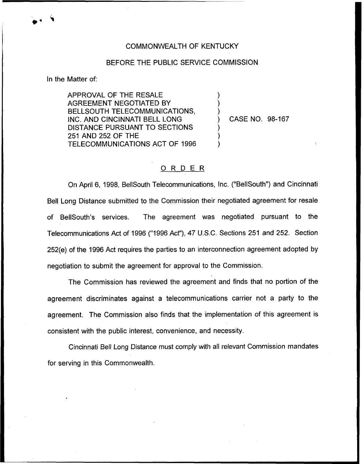## COMMONWEALTH OF KENTUCKY

## BEFORE THE PUBLIC SERVICE COMMISSION

) ) )

) ) )

In the Matter of:

APPROVAL OF THE RESALE AGREEMENT NEGOTIATED BY BELLSOUTH TELECOMMUNICATIONS, INC. AND CINCINNATI BELL LONG DISTANCE PURSUANT TO SECTIONS 251 AND 252 OF THE TELECOMMUNICATIONS ACT OF 1996

) CASE NO. 98-167

## 0 <sup>R</sup> <sup>D</sup> <sup>E</sup> <sup>R</sup>

On April 6, 1998, BellSouth Telecommunications, Inc. ("BellSouth") and Cincinnati Bell Long Distance submitted to the Commission their negotiated agreement for resale of BellSouth's services. The agreement was negotiated pursuant to the Telecommunications Act of 1996 ("1996 Act"), 47 U.S.C. Sections 251 and 252. Section 252(e) of the 1996 Act requires the parties to an interconnection agreement adopted by negotiation to submit the agreement for approval to the Commission.

The Commission has reviewed the agreement and finds that no portion of the agreement discriminates against a telecommunications carrier not a party to the agreement. The Commission also finds that the implementation of this agreement is consistent with the public interest, convenience, and necessity.

Cincinnati Bell Long Distance must comply with all relevant Commission mandates for serving in this Commonwealth.